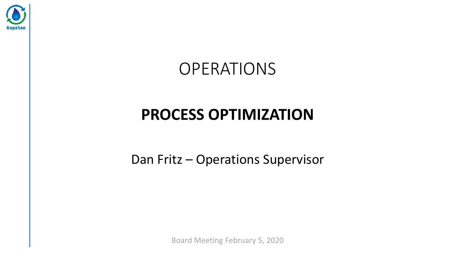

# OPERATIONS

# **PROCESS OPTIMIZATION**

Dan Fritz – Operations Supervisor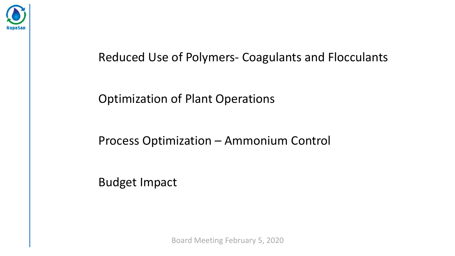

#### Reduced Use of Polymers- Coagulants and Flocculants

#### Optimization of Plant Operations

#### Process Optimization – Ammonium Control

Budget Impact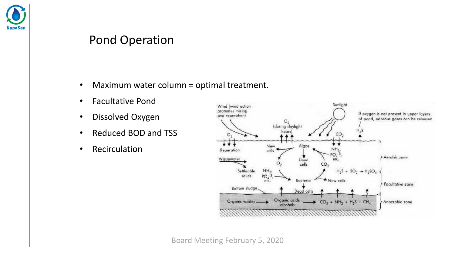

#### Pond Operation

- Maximum water column = optimal treatment.
- Facultative Pond
- Dissolved Oxygen
- Reduced BOD and TSS
- Recirculation

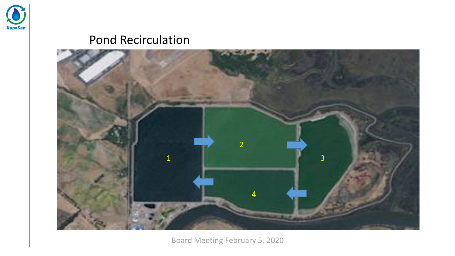

#### Pond Recirculation

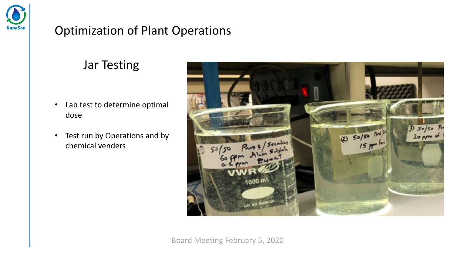

#### Optimization of Plant Operations

### Jar Testing

- Lab test to determine optimal dose
- Test run by Operations and by chemical venders

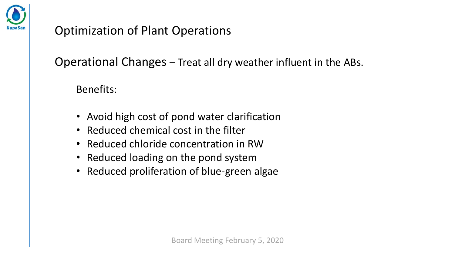

### Optimization of Plant Operations

Operational Changes – Treat all dry weather influent in the ABs.

Benefits:

- Avoid high cost of pond water clarification
- Reduced chemical cost in the filter
- Reduced chloride concentration in RW
- Reduced loading on the pond system
- Reduced proliferation of blue-green algae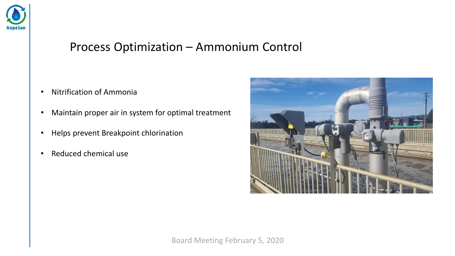

#### Process Optimization – Ammonium Control

- Nitrification of Ammonia
- Maintain proper air in system for optimal treatment
- Helps prevent Breakpoint chlorination
- Reduced chemical use

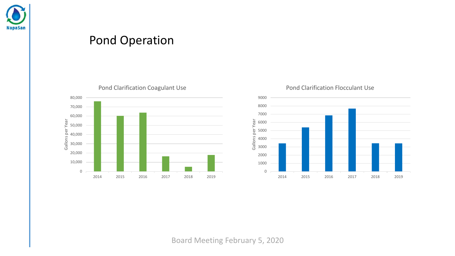

#### Pond Operation



Pond Clarification Coagulant Use



Pond Clarification Flocculant Use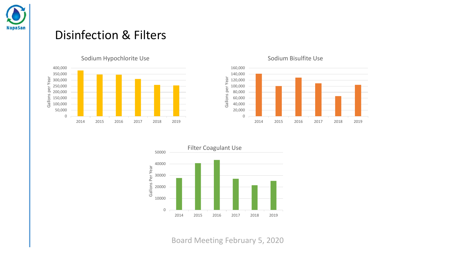

#### Disinfection & Filters





#### Sodium Bisulfite Use

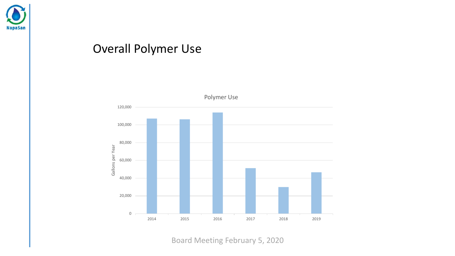

#### Overall Polymer Use

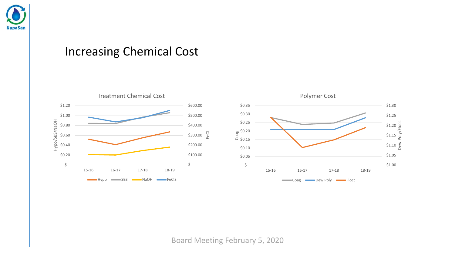

#### Increasing Chemical Cost

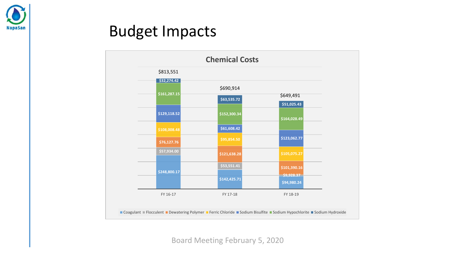

## Budget Impacts